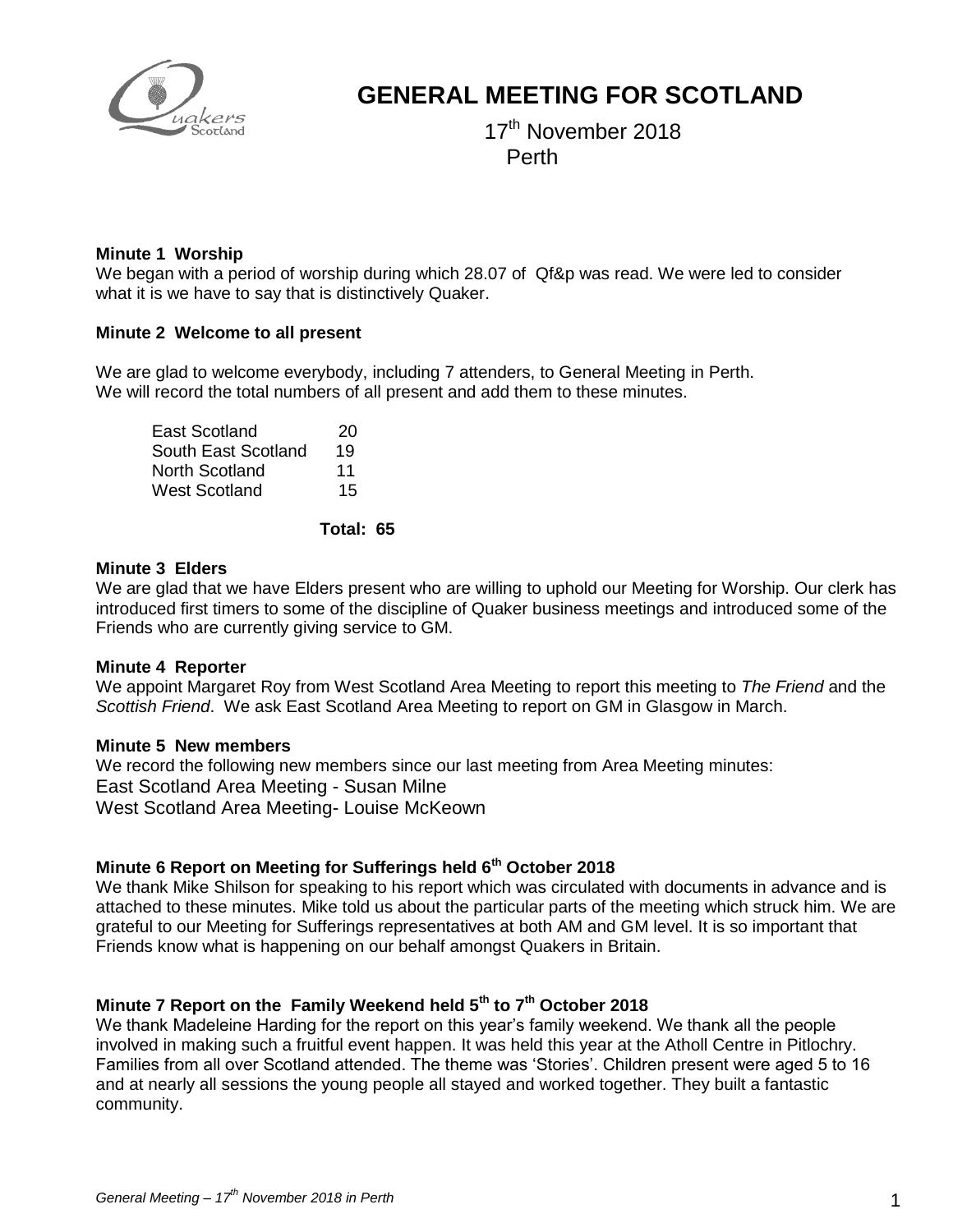

# **GENERAL MEETING FOR SCOTLAND**

17 (17) 17 17<sup>th</sup> November 2018 Perth

### **Minute 1 Worship**

We began with a period of worship during which 28.07 of Qf&p was read. We were led to consider what it is we have to say that is distinctively Quaker.

### **Minute 2 Welcome to all present**

We are glad to welcome everybody, including 7 attenders, to General Meeting in Perth. We will record the total numbers of all present and add them to these minutes.

| East Scotland       | 20 |
|---------------------|----|
| South East Scotland | 19 |
| North Scotland      | 11 |
| West Scotland       | 15 |

### **Total: 65**

### **Minute 3 Elders**

We are glad that we have Elders present who are willing to uphold our Meeting for Worship. Our clerk has introduced first timers to some of the discipline of Quaker business meetings and introduced some of the Friends who are currently giving service to GM.

### **Minute 4 Reporter**

We appoint Margaret Roy from West Scotland Area Meeting to report this meeting to *The Friend* and the *Scottish Friend*. We ask East Scotland Area Meeting to report on GM in Glasgow in March.

### **Minute 5 New members**

We record the following new members since our last meeting from Area Meeting minutes: East Scotland Area Meeting - Susan Milne West Scotland Area Meeting- Louise McKeown

# **Minute 6 Report on Meeting for Sufferings held 6th October 2018**

We thank Mike Shilson for speaking to his report which was circulated with documents in advance and is attached to these minutes. Mike told us about the particular parts of the meeting which struck him. We are grateful to our Meeting for Sufferings representatives at both AM and GM level. It is so important that Friends know what is happening on our behalf amongst Quakers in Britain.

# **Minute 7 Report on the Family Weekend held 5th to 7th October 2018**

We thank Madeleine Harding for the report on this year's family weekend. We thank all the people involved in making such a fruitful event happen. It was held this year at the Atholl Centre in Pitlochry. Families from all over Scotland attended. The theme was 'Stories'. Children present were aged 5 to 16 and at nearly all sessions the young people all stayed and worked together. They built a fantastic community.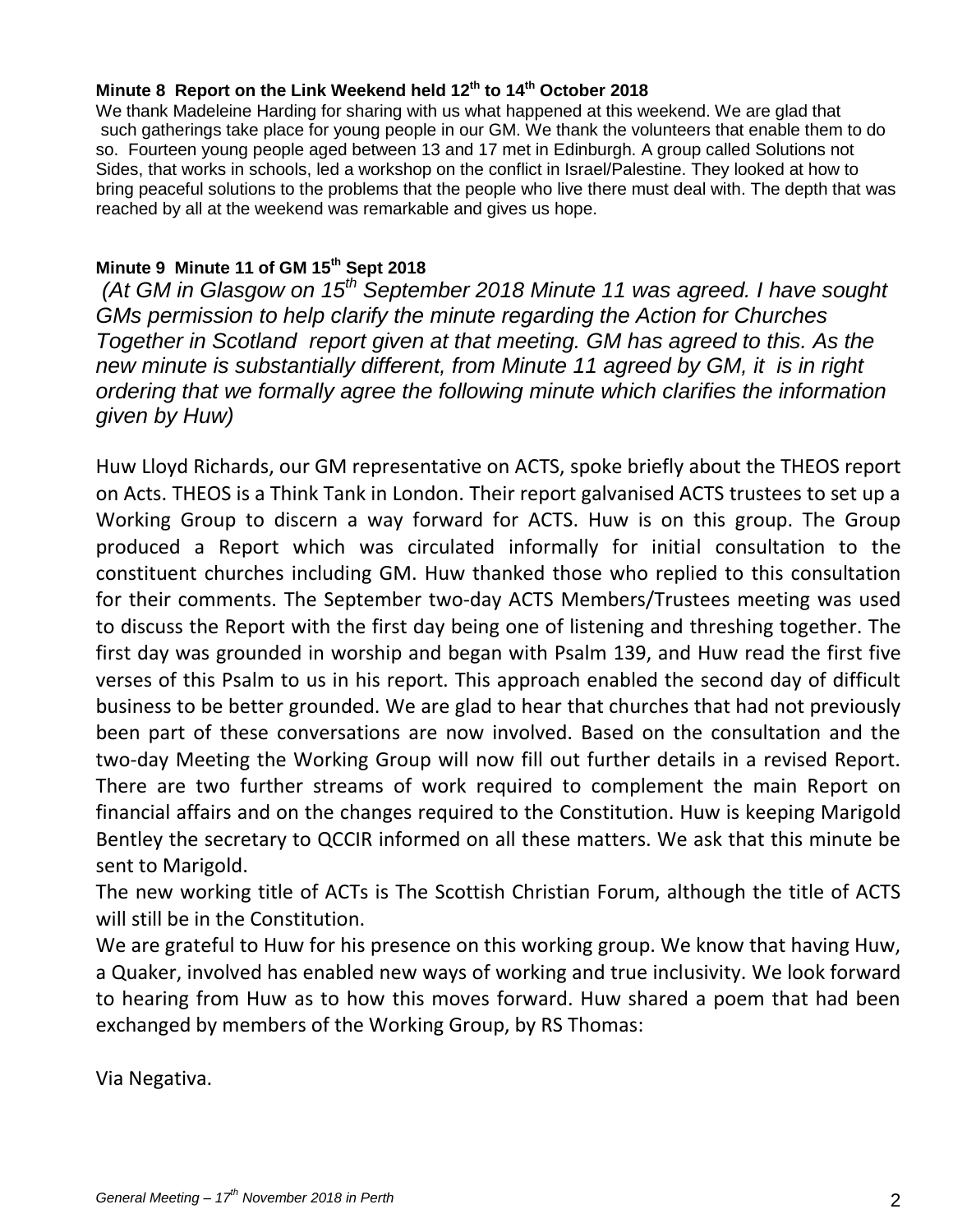# **Minute 8 Report on the Link Weekend held 12th to 14th October 2018**

We thank Madeleine Harding for sharing with us what happened at this weekend. We are glad that such gatherings take place for young people in our GM. We thank the volunteers that enable them to do so. Fourteen young people aged between 13 and 17 met in Edinburgh. A group called Solutions not Sides, that works in schools, led a workshop on the conflict in Israel/Palestine. They looked at how to bring peaceful solutions to the problems that the people who live there must deal with. The depth that was reached by all at the weekend was remarkable and gives us hope.

# **Minute 9 Minute 11 of GM 15th Sept 2018**

*(At GM in Glasgow on 15th September 2018 Minute 11 was agreed. I have sought GMs permission to help clarify the minute regarding the Action for Churches Together in Scotland report given at that meeting. GM has agreed to this. As the new minute is substantially different, from Minute 11 agreed by GM, it is in right ordering that we formally agree the following minute which clarifies the information given by Huw)*

Huw Lloyd Richards, our GM representative on ACTS, spoke briefly about the THEOS report on Acts. THEOS is a Think Tank in London. Their report galvanised ACTS trustees to set up a Working Group to discern a way forward for ACTS. Huw is on this group. The Group produced a Report which was circulated informally for initial consultation to the constituent churches including GM. Huw thanked those who replied to this consultation for their comments. The September two-day ACTS Members/Trustees meeting was used to discuss the Report with the first day being one of listening and threshing together. The first day was grounded in worship and began with Psalm 139, and Huw read the first five verses of this Psalm to us in his report. This approach enabled the second day of difficult business to be better grounded. We are glad to hear that churches that had not previously been part of these conversations are now involved. Based on the consultation and the two-day Meeting the Working Group will now fill out further details in a revised Report. There are two further streams of work required to complement the main Report on financial affairs and on the changes required to the Constitution. Huw is keeping Marigold Bentley the secretary to QCCIR informed on all these matters. We ask that this minute be sent to Marigold.

The new working title of ACTs is The Scottish Christian Forum, although the title of ACTS will still be in the Constitution.

We are grateful to Huw for his presence on this working group. We know that having Huw, a Quaker, involved has enabled new ways of working and true inclusivity. We look forward to hearing from Huw as to how this moves forward. Huw shared a poem that had been exchanged by members of the Working Group, by RS Thomas:

Via Negativa.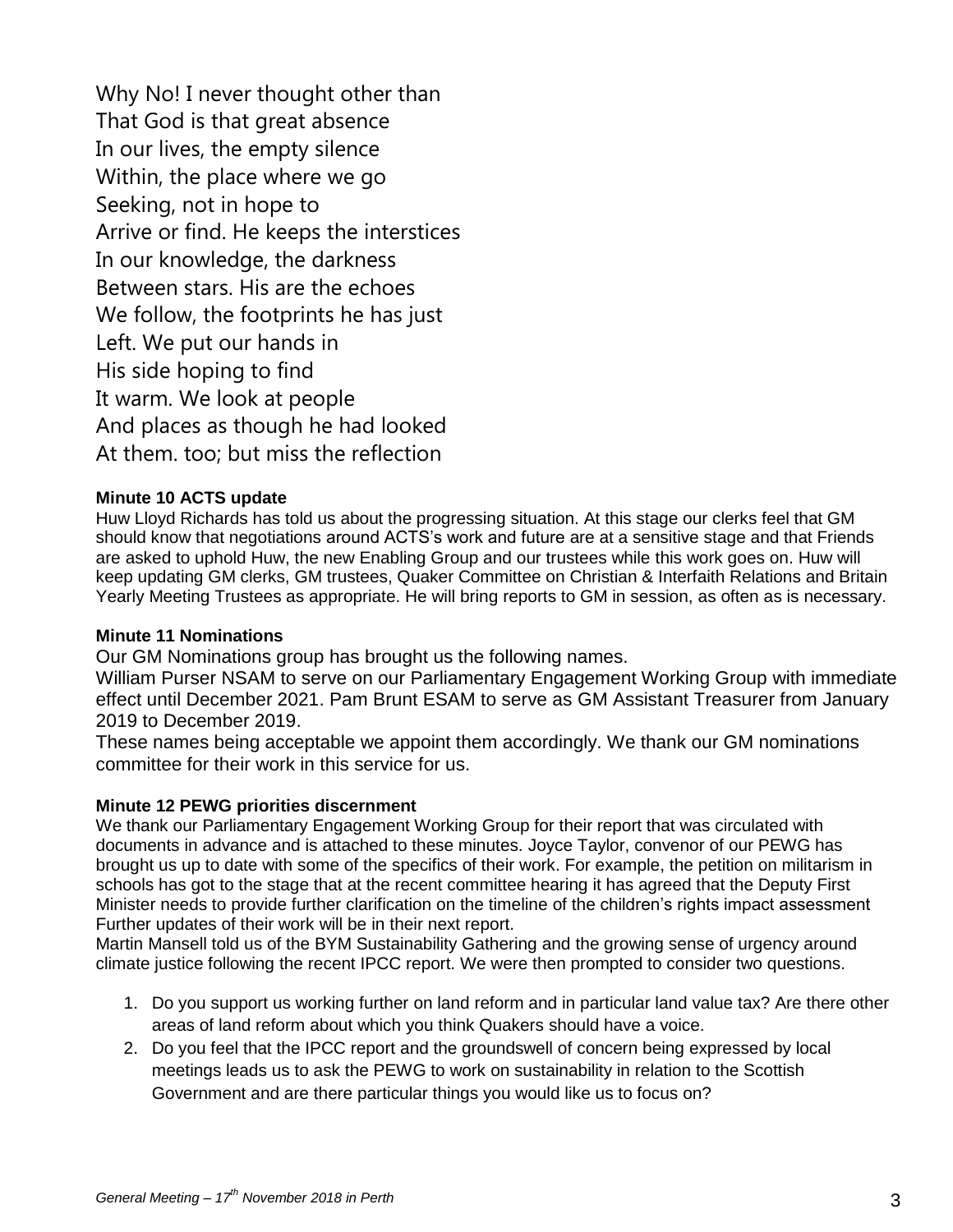Why No! I never thought other than That God is that great absence In our lives, the empty silence Within, the place where we go Seeking, not in hope to Arrive or find. He keeps the interstices In our knowledge, the darkness Between stars. His are the echoes We follow, the footprints he has just Left. We put our hands in His side hoping to find It warm. We look at people And places as though he had looked At them. too; but miss the reflection

# **Minute 10 ACTS update**

Huw Lloyd Richards has told us about the progressing situation. At this stage our clerks feel that GM should know that negotiations around ACTS's work and future are at a sensitive stage and that Friends are asked to uphold Huw, the new Enabling Group and our trustees while this work goes on. Huw will keep updating GM clerks, GM trustees, Quaker Committee on Christian & Interfaith Relations and Britain Yearly Meeting Trustees as appropriate. He will bring reports to GM in session, as often as is necessary.

# **Minute 11 Nominations**

Our GM Nominations group has brought us the following names.

William Purser NSAM to serve on our Parliamentary Engagement Working Group with immediate effect until December 2021. Pam Brunt ESAM to serve as GM Assistant Treasurer from January 2019 to December 2019.

These names being acceptable we appoint them accordingly. We thank our GM nominations committee for their work in this service for us.

### **Minute 12 PEWG priorities discernment**

We thank our Parliamentary Engagement Working Group for their report that was circulated with documents in advance and is attached to these minutes. Joyce Taylor, convenor of our PEWG has brought us up to date with some of the specifics of their work. For example, the petition on militarism in schools has got to the stage that at the recent committee hearing it has agreed that the Deputy First Minister needs to provide further clarification on the timeline of the children's rights impact assessment Further updates of their work will be in their next report.

Martin Mansell told us of the BYM Sustainability Gathering and the growing sense of urgency around climate justice following the recent IPCC report. We were then prompted to consider two questions.

- 1. Do you support us working further on land reform and in particular land value tax? Are there other areas of land reform about which you think Quakers should have a voice.
- 2. Do you feel that the IPCC report and the groundswell of concern being expressed by local meetings leads us to ask the PEWG to work on sustainability in relation to the Scottish Government and are there particular things you would like us to focus on?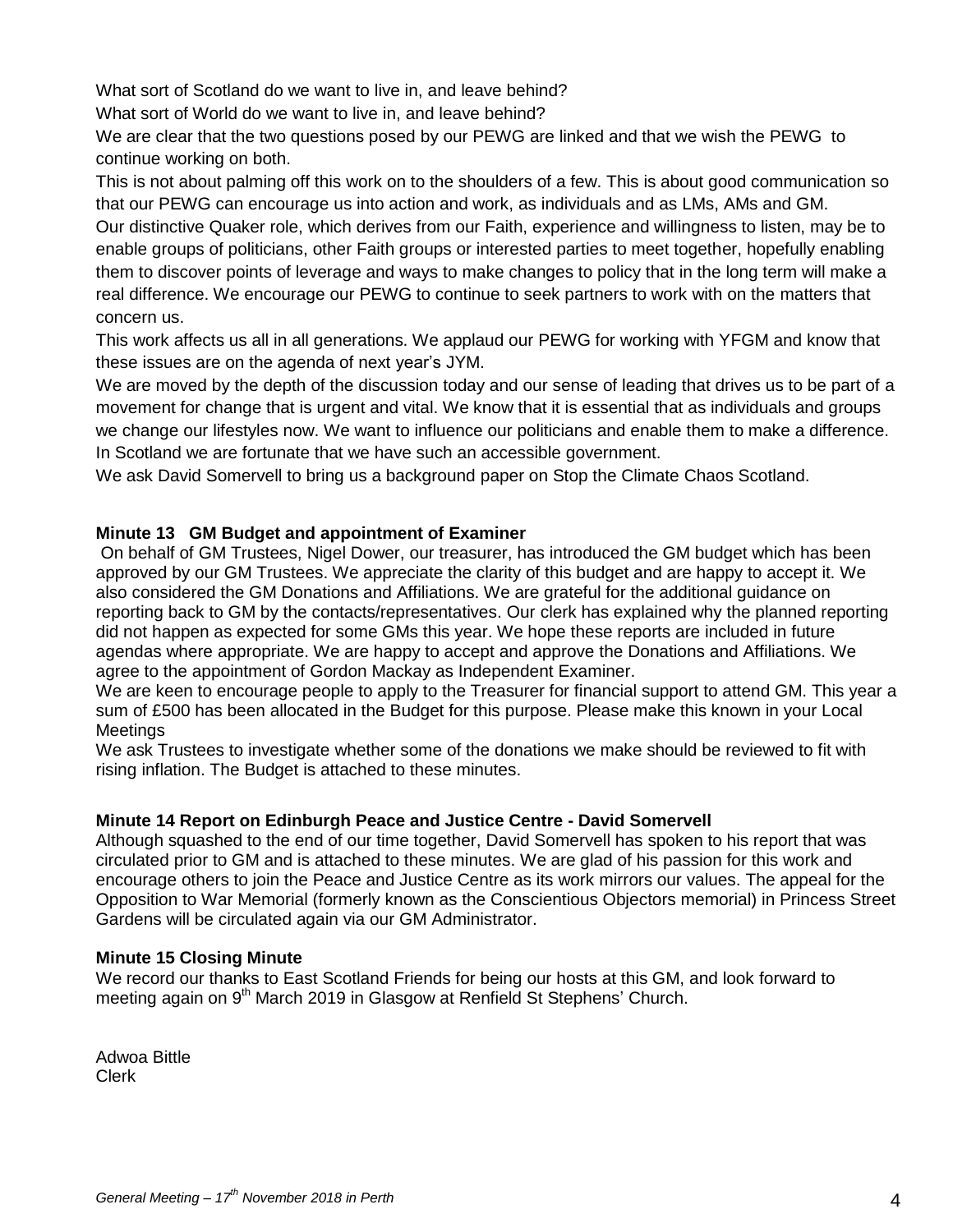What sort of Scotland do we want to live in, and leave behind?

What sort of World do we want to live in, and leave behind?

We are clear that the two questions posed by our PEWG are linked and that we wish the PEWG to continue working on both.

This is not about palming off this work on to the shoulders of a few. This is about good communication so that our PEWG can encourage us into action and work, as individuals and as LMs, AMs and GM.

Our distinctive Quaker role, which derives from our Faith, experience and willingness to listen, may be to enable groups of politicians, other Faith groups or interested parties to meet together, hopefully enabling them to discover points of leverage and ways to make changes to policy that in the long term will make a real difference. We encourage our PEWG to continue to seek partners to work with on the matters that concern us.

This work affects us all in all generations. We applaud our PEWG for working with YFGM and know that these issues are on the agenda of next year's JYM.

We are moved by the depth of the discussion today and our sense of leading that drives us to be part of a movement for change that is urgent and vital. We know that it is essential that as individuals and groups we change our lifestyles now. We want to influence our politicians and enable them to make a difference. In Scotland we are fortunate that we have such an accessible government.

We ask David Somervell to bring us a background paper on Stop the Climate Chaos Scotland.

# **Minute 13 GM Budget and appointment of Examiner**

On behalf of GM Trustees, Nigel Dower, our treasurer, has introduced the GM budget which has been approved by our GM Trustees. We appreciate the clarity of this budget and are happy to accept it. We also considered the GM Donations and Affiliations. We are grateful for the additional guidance on reporting back to GM by the contacts/representatives. Our clerk has explained why the planned reporting did not happen as expected for some GMs this year. We hope these reports are included in future agendas where appropriate. We are happy to accept and approve the Donations and Affiliations. We agree to the appointment of Gordon Mackay as Independent Examiner.

We are keen to encourage people to apply to the Treasurer for financial support to attend GM. This year a sum of £500 has been allocated in the Budget for this purpose. Please make this known in your Local **Meetings** 

We ask Trustees to investigate whether some of the donations we make should be reviewed to fit with rising inflation. The Budget is attached to these minutes.

### **Minute 14 Report on Edinburgh Peace and Justice Centre - David Somervell**

Although squashed to the end of our time together, David Somervell has spoken to his report that was circulated prior to GM and is attached to these minutes. We are glad of his passion for this work and encourage others to join the Peace and Justice Centre as its work mirrors our values. The appeal for the Opposition to War Memorial (formerly known as the Conscientious Objectors memorial) in Princess Street Gardens will be circulated again via our GM Administrator.

### **Minute 15 Closing Minute**

We record our thanks to East Scotland Friends for being our hosts at this GM, and look forward to meeting again on 9<sup>th</sup> March 2019 in Glasgow at Renfield St Stephens' Church.

Adwoa Bittle Clerk